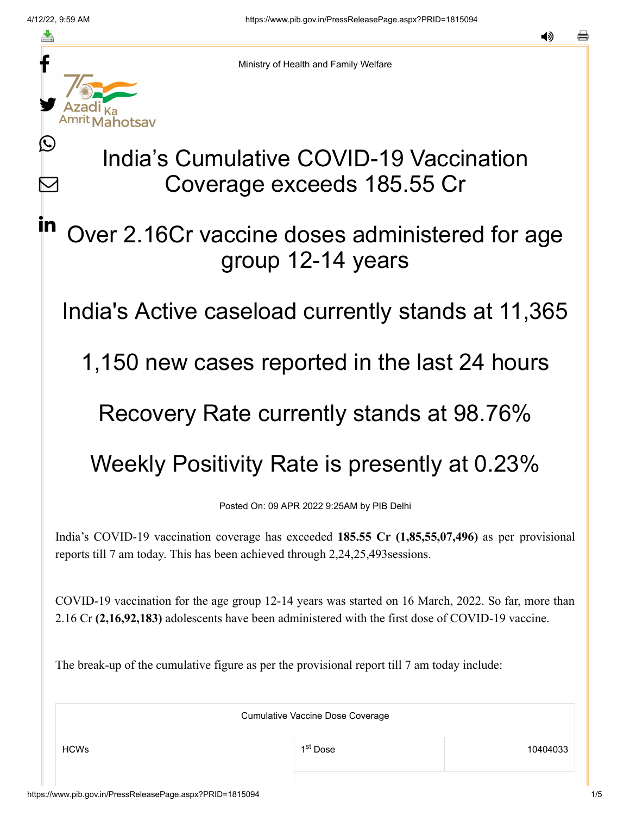≛

L

 $\boldsymbol{\mathsf{M}}$ 

<u>in</u>



Ministry of Health and Family Welfare

# India's Cumulative COVID-19 Vaccination Coverage exceeds 185.55 Cr

## Over 2.16Cr vaccine doses administered for age group 12-14 years

India's Active caseload currently stands at 11,365

1,150 new cases reported in the last 24 hours

### Recovery Rate currently stands at 98.76%

## Weekly Positivity Rate is presently at 0.23%

Posted On: 09 APR 2022 9:25AM by PIB Delhi

India's COVID-19 vaccination coverage has exceeded **185.55 Cr (1,85,55,07,496)** as per provisional reports till 7 am today. This has been achieved through 2,24,25,493sessions.

COVID-19 vaccination for the age group 12-14 years was started on 16 March, 2022. So far, more than 2.16 Cr **(2,16,92,183)** adolescents have been administered with the first dose of COVID-19 vaccine.

The break-up of the cumulative figure as per the provisional report till 7 am today include:

Cumulative Vaccine Dose Coverage  $\mathsf{HCWs}$  10404033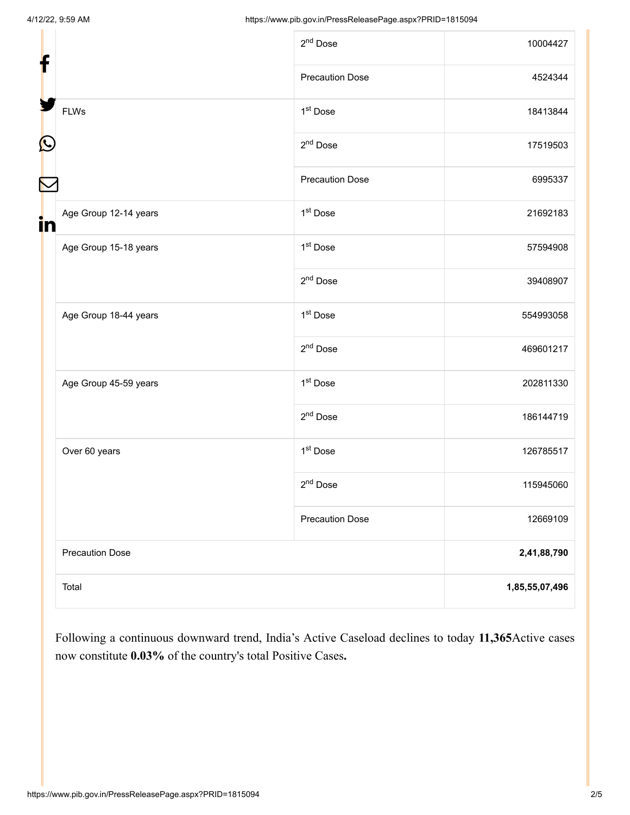|                             | 2 <sup>nd</sup> Dose   | 10004427       |
|-----------------------------|------------------------|----------------|
|                             | <b>Precaution Dose</b> | 4524344        |
| <b>FLWs</b>                 | 1 <sup>st</sup> Dose   | 18413844       |
|                             | 2 <sup>nd</sup> Dose   | 17519503       |
|                             | <b>Precaution Dose</b> | 6995337        |
| Age Group 12-14 years<br>in | 1 <sup>st</sup> Dose   | 21692183       |
| Age Group 15-18 years       | 1 <sup>st</sup> Dose   | 57594908       |
|                             | 2 <sup>nd</sup> Dose   | 39408907       |
| Age Group 18-44 years       | 1 <sup>st</sup> Dose   | 554993058      |
|                             | 2 <sup>nd</sup> Dose   | 469601217      |
| Age Group 45-59 years       | 1 <sup>st</sup> Dose   | 202811330      |
|                             | 2 <sup>nd</sup> Dose   | 186144719      |
| Over 60 years               | 1 <sup>st</sup> Dose   | 126785517      |
|                             | 2 <sup>nd</sup> Dose   | 115945060      |
|                             | <b>Precaution Dose</b> | 12669109       |
| <b>Precaution Dose</b>      |                        | 2,41,88,790    |
| Total                       |                        | 1,85,55,07,496 |

Following a continuous downward trend, India's Active Caseload declines to today **11,365**Active cases now constitute **0.03%** of the country's total Positive Cases**.**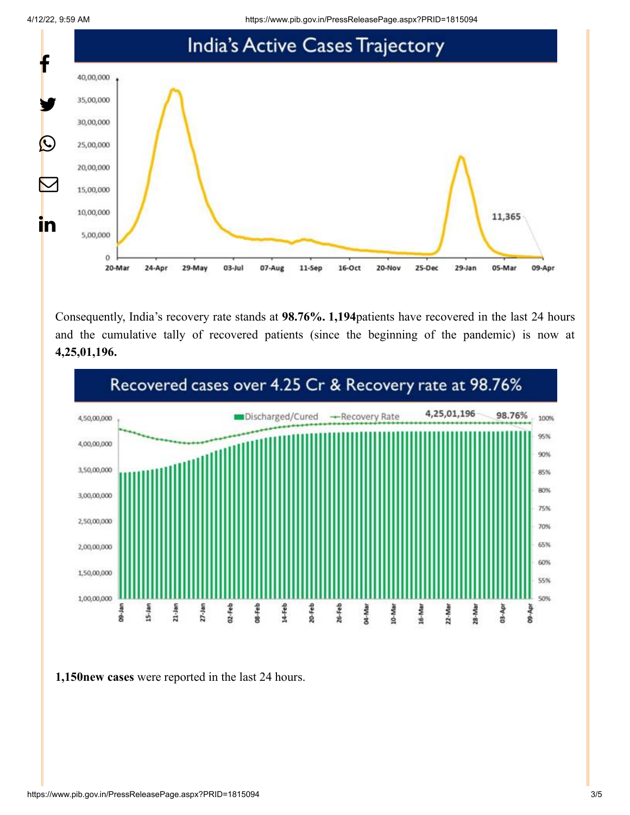4/12/22, 9:59 AM https://www.pib.gov.in/PressReleasePage.aspx?PRID=1815094



Consequently, India's recovery rate stands at **98.76%. 1,194**patients have recovered in the last 24 hours and the cumulative tally of recovered patients (since the beginning of the pandemic) is now at **4,25,01,196.**



**1,150new cases** were reported in the last 24 hours.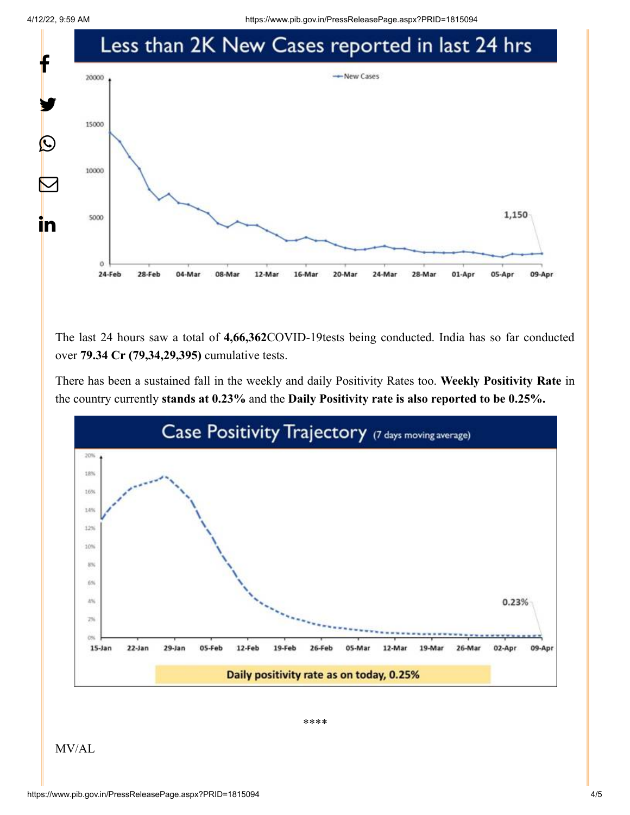4/12/22, 9:59 AM https://www.pib.gov.in/PressReleasePage.aspx?PRID=1815094



The last 24 hours saw a total of **4,66,362**COVID-19tests being conducted. India has so far conducted over **79.34 Cr (79,34,29,395)** cumulative tests.

There has been a sustained fall in the weekly and daily Positivity Rates too. **Weekly Positivity Rate** in the country currently **stands at 0.23%** and the **Daily Positivity rate is also reported to be 0.25%.**



\*\*\*\*

MV/AL